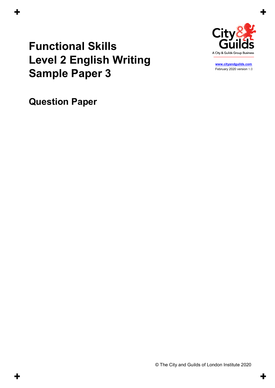

Functional Skills Level 2 English Writing Sample Paper 3

Question Paper

÷

÷



www.cityandguilds.com February 2020 version 1.0

÷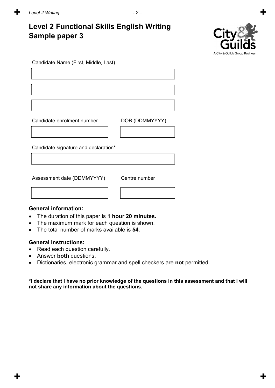

# Level 2 Functional Skills English Writing Sample paper 3



| Candidate Name (First, Middle, Last) |  |  |
|--------------------------------------|--|--|
|                                      |  |  |

Candidate enrolment number DOB (DDMMYYYY)

Candidate signature and declaration\*

Assessment date (DDMMYYYY) Centre number

#### General information:

- The duration of this paper is 1 hour 20 minutes.
- The maximum mark for each question is shown.
- The total number of marks available is 54.

#### General instructions:

- Read each question carefully.
- Answer both questions.
- Dictionaries, electronic grammar and spell checkers are not permitted.

\*I declare that I have no prior knowledge of the questions in this assessment and that I will not share any information about the questions.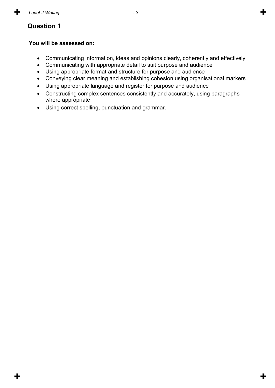



## Question 1

### You will be assessed on:

- Communicating information, ideas and opinions clearly, coherently and effectively
- Communicating with appropriate detail to suit purpose and audience
- Using appropriate format and structure for purpose and audience
- Conveying clear meaning and establishing cohesion using organisational markers
- Using appropriate language and register for purpose and audience
- Constructing complex sentences consistently and accurately, using paragraphs where appropriate
- Using correct spelling, punctuation and grammar.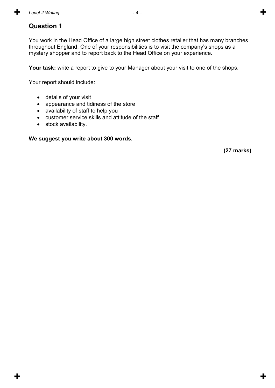

# Question 1

You work in the Head Office of a large high street clothes retailer that has many branches throughout England. One of your responsibilities is to visit the company's shops as a mystery shopper and to report back to the Head Office on your experience.

Your task: write a report to give to your Manager about your visit to one of the shops.

Your report should include:

- details of your visit
- appearance and tidiness of the store
- availability of staff to help you
- customer service skills and attitude of the staff
- stock availability.

### We suggest you write about 300 words.

(27 marks)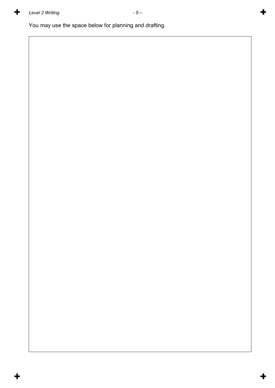

You may use the space below for planning and drafting.

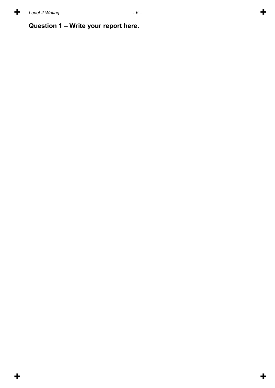

Question 1 – Write your report here.

÷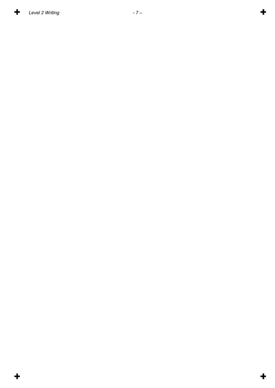

÷

 $\ddot{}$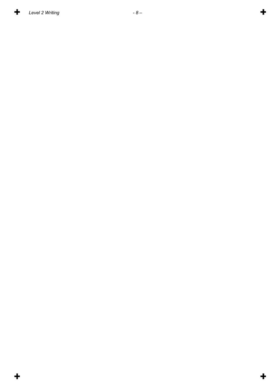



 $\ddagger$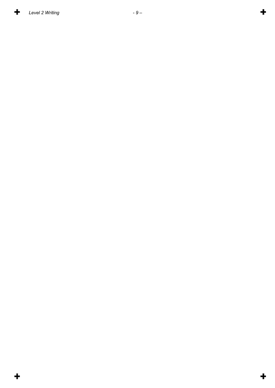

٠

 $\ddagger$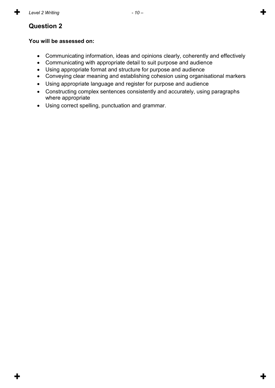



### Question 2

### You will be assessed on:

- Communicating information, ideas and opinions clearly, coherently and effectively
- Communicating with appropriate detail to suit purpose and audience
- Using appropriate format and structure for purpose and audience
- Conveying clear meaning and establishing cohesion using organisational markers
- Using appropriate language and register for purpose and audience
- Constructing complex sentences consistently and accurately, using paragraphs where appropriate
- Using correct spelling, punctuation and grammar.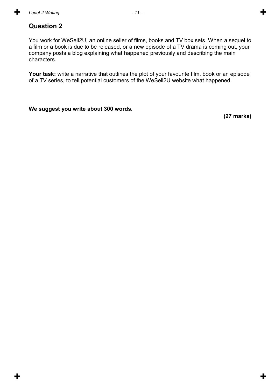

# Question 2

You work for WeSell2U, an online seller of films, books and TV box sets. When a sequel to a film or a book is due to be released, or a new episode of a TV drama is coming out, your company posts a blog explaining what happened previously and describing the main characters.

Your task: write a narrative that outlines the plot of your favourite film, book or an episode of a TV series, to tell potential customers of the WeSell2U website what happened.

We suggest you write about 300 words.

(27 marks)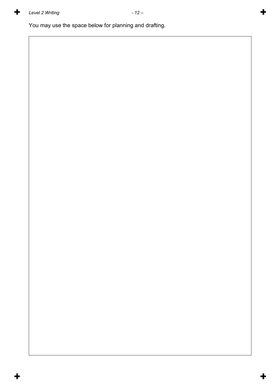

You may use the space below for planning and drafting.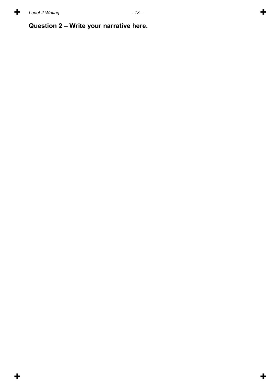

٠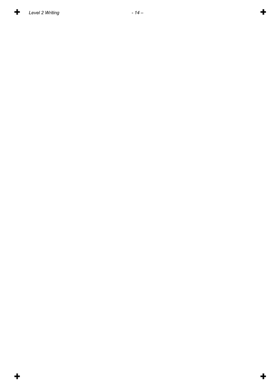

٠

 $\ddagger$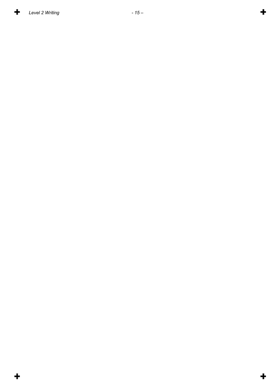

٠

 $\ddot{}$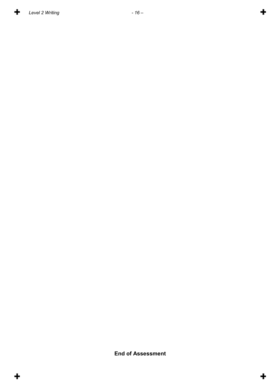

÷

٠

End of Assessment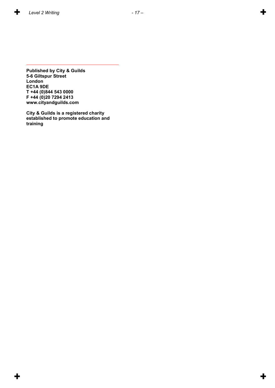٠

÷

Published by City & Guilds 5-6 Giltspur Street London EC1A 9DE T +44 (0)844 543 0000 F +44 (0)20 7294 2413 www.cityandguilds.com

City & Guilds is a registered charity established to promote education and training